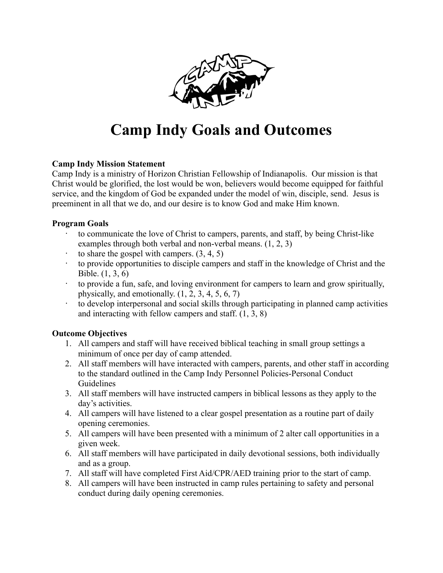

# **Camp Indy Goals and Outcomes**

## **Camp Indy Mission Statement**

Camp Indy is a ministry of Horizon Christian Fellowship of Indianapolis. Our mission is that Christ would be glorified, the lost would be won, believers would become equipped for faithful service, and the kingdom of God be expanded under the model of win, disciple, send. Jesus is preeminent in all that we do, and our desire is to know God and make Him known.

### **Program Goals**

- to communicate the love of Christ to campers, parents, and staff, by being Christ-like examples through both verbal and non-verbal means. (1, 2, 3)
- to share the gospel with campers.  $(3, 4, 5)$
- · to provide opportunities to disciple campers and staff in the knowledge of Christ and the Bible. (1, 3, 6)
- · to provide a fun, safe, and loving environment for campers to learn and grow spiritually, physically, and emotionally.  $(1, 2, 3, 4, 5, 6, 7)$
- · to develop interpersonal and social skills through participating in planned camp activities and interacting with fellow campers and staff. (1, 3, 8)

## **Outcome Objectives**

- 1. All campers and staff will have received biblical teaching in small group settings a minimum of once per day of camp attended.
- 2. All staff members will have interacted with campers, parents, and other staff in according to the standard outlined in the Camp Indy Personnel Policies-Personal Conduct Guidelines
- 3. All staff members will have instructed campers in biblical lessons as they apply to the day's activities.
- 4. All campers will have listened to a clear gospel presentation as a routine part of daily opening ceremonies.
- 5. All campers will have been presented with a minimum of 2 alter call opportunities in a given week.
- 6. All staff members will have participated in daily devotional sessions, both individually and as a group.
- 7. All staff will have completed First Aid/CPR/AED training prior to the start of camp.
- 8. All campers will have been instructed in camp rules pertaining to safety and personal conduct during daily opening ceremonies.